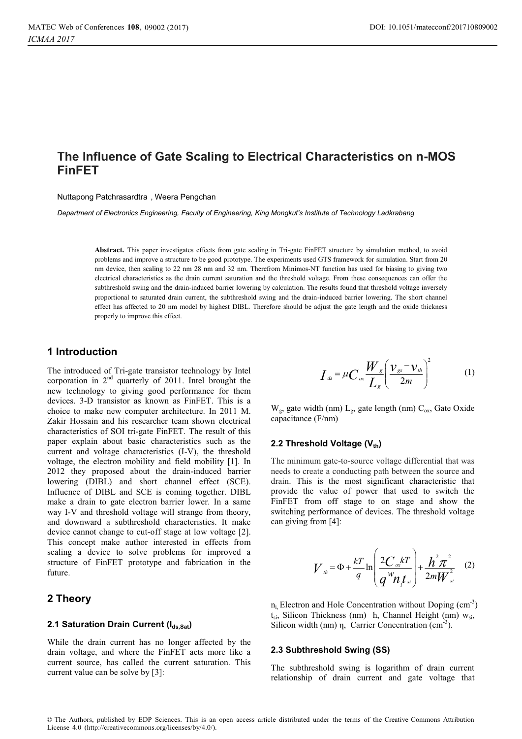# **The Influence of Gate Scaling to Electrical Characteristics on n-MOS FinFET**

Nuttapong Patchrasardtra , Weera Pengchan

*Department of Electronics Engineering, Faculty of Engineering, King Mongkut's Institute of Technology Ladkrabang*

**Abstract.** This paper investigates effects from gate scaling in Tri-gate FinFET structure by simulation method, to avoid problems and improve a structure to be good prototype. The experiments used GTS framework for simulation. Start from 20 nm device, then scaling to 22 nm 28 nm and 32 nm. Therefrom Minimos-NT function has used for biasing to giving two electrical characteristics as the drain current saturation and the threshold voltage. From these consequences can offer the subthreshold swing and the drain-induced barrier lowering by calculation. The results found that threshold voltage inversely proportional to saturated drain current, the subthreshold swing and the drain-induced barrier lowering. The short channel effect has affected to 20 nm model by highest DIBL. Therefore should be adjust the gate length and the oxide thickness properly to improve this effect.

## **1 Introduction**

The introduced of Tri-gate transistor technology by Intel corporation in  $2<sup>nd</sup>$  quarterly of 2011. Intel brought the new technology to giving good performance for them devices. 3-D transistor as known as FinFET. This is a choice to make new computer architecture. In 2011 M. Zakir Hossain and his researcher team shown electrical characteristics of SOI tri-gate FinFET. The result of this paper explain about basic characteristics such as the current and voltage characteristics (I-V), the threshold voltage, the electron mobility and field mobility [1]. In 2012 they proposed about the drain-induced barrier lowering (DIBL) and short channel effect (SCE). Influence of DIBL and SCE is coming together. DIBL make a drain to gate electron barrier lower. In a same way I-V and threshold voltage will strange from theory, and downward a subthreshold characteristics. It make device cannot change to cut-off stage at low voltage [2]. This concept make author interested in effects from scaling a device to solve problems for improved a structure of FinFET prototype and fabrication in the future.

## **2 Theory**

#### **2.1 Saturation Drain Current (Ids.Sat)**

While the drain current has no longer affected by the drain voltage, and where the FinFET acts more like a current source, has called the current saturation. This current value can be solve by [3]:

$$
I_{ds} = \mu C_{ox} \frac{W_g}{L_g} \left( \frac{V_{gs} - V_{th}}{2m} \right)^2 \tag{1}
$$

 $W_g$ , gate width (nm)  $L_g$ , gate length (nm)  $C_{ox}$ , Gate Oxide capacitance (F/nm)

#### **2.2 Threshold Voltage (Vth)**

The minimum gate-to-source voltage differential that was needs to create a conducting path between the source and drain. This is the most significant characteristic that provide the value of power that used to switch the FinFET from off stage to on stage and show the switching performance of devices. The threshold voltage can giving from [4]:

$$
V_{th} = \Phi + \frac{kT}{q} \ln \left( \frac{2C_{ox}kT}{q^W n_t t_{si}} \right) + \frac{h^2 \pi^2}{2mW_{si}^2} \quad (2)
$$

 $n_i$  Electron and Hole Concentration without Doping (cm<sup>-3</sup>)  $t_{si}$ , Silicon Thickness (nm) h, Channel Height (nm)  $w_{si}$ , Silicon width (nm) η, Carrier Concentration (cm<sup>-3</sup>).

#### **2.3 Subthreshold Swing (SS)**

The subthreshold swing is logarithm of drain current relationship of drain current and gate voltage that

© The Authors, published by EDP Sciences. This is an open access article distributed under the terms of the Creative Commons Attribution License 4.0 (http://creativecommons.org/licenses/by/4.0/).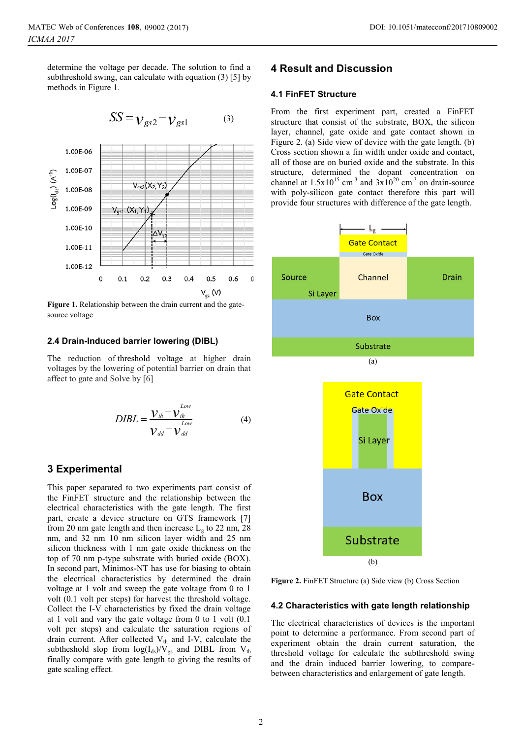determine the voltage per decade. The solution to find a subthreshold swing, can calculate with equation (3) [5] by methods in Figure 1.





**Figure 1.** Relationship between the drain current and the gatesource voltage

#### **2.4 Drain-Induced barrier lowering (DIBL)**

The reduction of threshold voltage at higher drain voltages by the lowering of potential barrier on drain that affect to gate and Solve by [6]

$$
DIBL = \frac{V_{th} - V_{th}^{Low}}{V_{dd} - V_{dd}^{low}}
$$
(4)

### **3 Experimental**

This paper separated to two experiments part consist of the FinFET structure and the relationship between the electrical characteristics with the gate length. The first part, create a device structure on GTS framework [7] from 20 nm gate length and then increase  $L_g$  to 22 nm, 28 nm, and 32 nm 10 nm silicon layer width and 25 nm silicon thickness with 1 nm gate oxide thickness on the top of 70 nm p-type substrate with buried oxide (BOX). In second part, Minimos-NT has use for biasing to obtain the electrical characteristics by determined the drain voltage at 1 volt and sweep the gate voltage from 0 to 1 volt (0.1 volt per steps) for harvest the threshold voltage. Collect the I-V characteristics by fixed the drain voltage at 1 volt and vary the gate voltage from 0 to 1 volt (0.1 volt per steps) and calculate the saturation regions of drain current. After collected  $V_{th}$  and I-V, calculate the subtheshold slop from  $log(I_{ds})/V_{gs}$  and DIBL from  $V_{th}$ finally compare with gate length to giving the results of gate scaling effect.

# **4 Result and Discussion**

### **4.1 FinFET Structure**

From the first experiment part, created a FinFET structure that consist of the substrate, BOX, the silicon layer, channel, gate oxide and gate contact shown in Figure 2. (a) Side view of device with the gate length. (b) Cross section shown a fin width under oxide and contact, all of those are on buried oxide and the substrate. In this structure, determined the dopant concentration on channel at  $1.5x10^{15}$  cm<sup>-3</sup> and  $3x10^{20}$  cm<sup>-3</sup> on drain-source with poly-silicon gate contact therefore this part will provide four structures with difference of the gate length.



(b)

**Figure 2.** FinFET Structure (a) Side view (b) Cross Section

#### **4.2 Characteristics with gate length relationship**

The electrical characteristics of devices is the important point to determine a performance. From second part of experiment obtain the drain current saturation, the threshold voltage for calculate the subthreshold swing and the drain induced barrier lowering, to comparebetween characteristics and enlargement of gate length.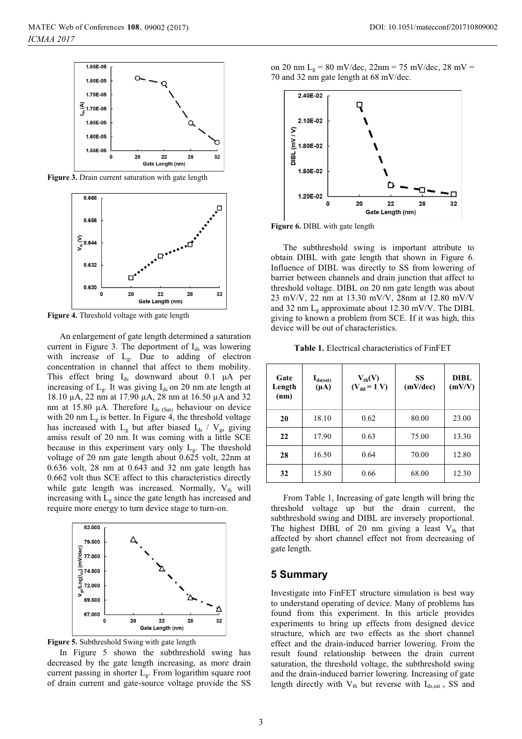

Figure 3. Drain current saturation with gate length



**Figure 4.** Threshold voltage with gate length

An enlargement of gate length determined a saturation current in Figure 3. The deportment of  $I_{ds}$  was lowering with increase of  $L_g$ . Due to adding of electron concentration in channel that affect to them mobility. This effect bring  $I_{ds}$  downward about 0.1  $\mu$ A per increasing of  $L_g$ . It was giving  $I_{ds}$  on 20 nm ate length at 18.10 µA, 22 nm at 17.90 µA, 28 nm at 16.50 µA and 32 nm at 15.80  $\mu$ A. Therefore I<sub>ds (Sat)</sub> behaviour on device with 20 nm  $L_g$  is better. In Figure 4, the threshold voltage has increased with  $L_g$  but after biased  $I_{ds}$  /  $V_{gs}$  giving amiss result of 20 nm. It was coming with a little SCE because in this experiment vary only  $L_g$ . The threshold voltage of 20 nm gate length about 0.625 volt, 22nm at 0.636 volt, 28 nm at 0.643 and 32 nm gate length has 0.662 volt thus SCE affect to this characteristics directly while gate length was increased. Normally,  $V_{th}$  will increasing with  $L_g$  since the gate length has increased and require more energy to turn device stage to turn-on.



**Figure 5.** Subthreshold Swing with gate length

In Figure 5 shown the subthreshold swing has decreased by the gate length increasing, as more drain current passing in shorter Lg. From logarithm square root of drain current and gate-source voltage provide the SS

on 20 nm L<sub>g</sub> = 80 mV/dec, 22nm = 75 mV/dec, 28 mV = 70 and 32 nm gate length at 68 mV/dec.



**Figure 6.** DIBL with gate length

The subthreshold swing is important attribute to obtain DIBL with gate length that shown in Figure 6. Influence of DIBL was directly to SS from lowering of barrier between channels and drain junction that affect to threshold voltage. DIBL on 20 nm gate length was about 23 mV/V, 22 nm at 13.30 mV/V, 28nm at 12.80 mV/V and 32 nm  $L_g$  approximate about 12.30 mV/V. The DIBL giving to known a problem from SCE. If it was high, this device will be out of characteristics.

**Table 1.** Electrical characteristics of FinFET

| Gate<br>Length<br>(nm) | $I_{ds(sat)}$<br>$(\mu A)$ | $V_{th}(V)$<br>$(V_{dd} = 1 V)$ | SS<br>(mV/dec) | DIBL<br>(mV/V) |
|------------------------|----------------------------|---------------------------------|----------------|----------------|
| 20                     | 18.10                      | 0.62                            | 80.00          | 23.00          |
| 22                     | 17.90                      | 0.63                            | 75.00          | 13.30          |
| 28                     | 16.50                      | 0.64                            | 70.00          | 12.80          |
| 32                     | 15.80                      | 0.66                            | 68.00          | 12.30          |

From Table 1, Increasing of gate length will bring the threshold voltage up but the drain current, the subthreshold swing and DIBL are inversely proportional. The highest DIBL of 20 nm giving a least  $V_{th}$  that affected by short channel effect not from decreasing of gate length.

## **5 Summary**

Investigate into FinFET structure simulation is best way to understand operating of device. Many of problems has found from this experiment. In this article provides experiments to bring up effects from designed device structure, which are two effects as the short channel effect and the drain-induced barrier lowering. From the result found relationship between the drain current saturation, the threshold voltage, the subthreshold swing and the drain-induced barrier lowering. Increasing of gate length directly with  $V_{th}$  but reverse with  $I_{ds, sat}$ , SS and